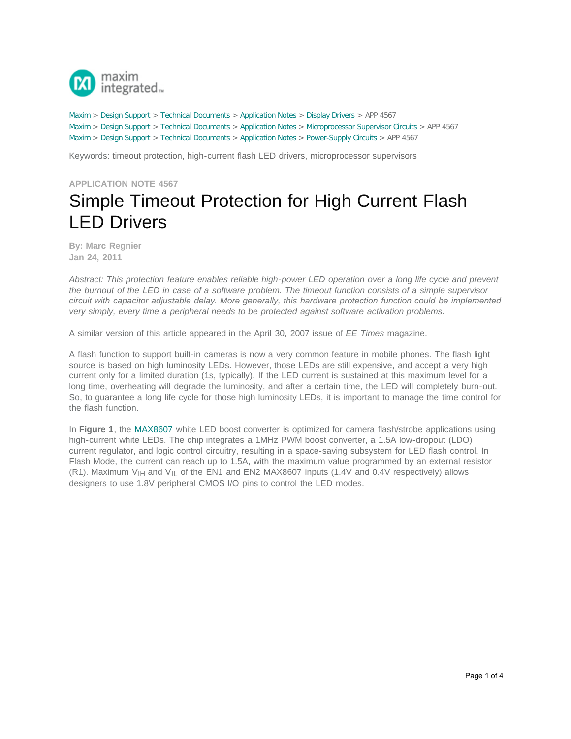

[Maxim](http://www.maximintegrated.com/) > [Design Support](http://www.maximintegrated.com/design/) > [Technical Documents](http://www.maximintegrated.com/design/techdocs/) > [Application Notes](http://www.maximintegrated.com/design/techdocs/app-notes/index.mvp) > [Display Drivers](http://www.maximintegrated.com/design/techdocs/app-notes/index.mvp/id/10/c/Display%20Drivers#c10) > APP 4567 [Maxim](http://www.maximintegrated.com/) > [Design Support](http://www.maximintegrated.com/design/) > [Technical Documents](http://www.maximintegrated.com/design/techdocs/) > [Application Notes](http://www.maximintegrated.com/design/techdocs/app-notes/index.mvp) > [Microprocessor Supervisor Circuits](http://www.maximintegrated.com/design/techdocs/app-notes/index.mvp/id/23/c/Microprocessor%20Supervisor%20Circuits#c23) > APP 4567 [Maxim](http://www.maximintegrated.com/) > [Design Support](http://www.maximintegrated.com/design/) > [Technical Documents](http://www.maximintegrated.com/design/techdocs/) > [Application Notes](http://www.maximintegrated.com/design/techdocs/app-notes/index.mvp) > [Power-Supply Circuits](http://www.maximintegrated.com/design/techdocs/app-notes/index.mvp/id/20/c/Power-Supply%20Circuits#c20) > APP 4567

Keywords: timeout protection, high-current flash LED drivers, microprocessor supervisors

## **APPLICATION NOTE 4567** Simple Timeout Protection for High Current Flash LED Drivers

**By: Marc Regnier Jan 24, 2011**

*Abstract: This protection feature enables reliable high-power LED operation over a long life cycle and prevent the burnout of the LED in case of a software problem. The timeout function consists of a simple supervisor circuit with capacitor adjustable delay. More generally, this hardware protection function could be implemented very simply, every time a peripheral needs to be protected against software activation problems.*

A similar version of this article appeared in the April 30, 2007 issue of *EE Times* magazine.

A flash function to support built-in cameras is now a very common feature in mobile phones. The flash light source is based on high luminosity LEDs. However, those LEDs are still expensive, and accept a very high current only for a limited duration (1s, typically). If the LED current is sustained at this maximum level for a long time, overheating will degrade the luminosity, and after a certain time, the LED will completely burn-out. So, to guarantee a long life cycle for those high luminosity LEDs, it is important to manage the time control for the flash function.

In **Figure 1**, the [MAX8607](http://www.maximintegrated.com/MAX8607) white LED boost converter is optimized for camera flash/strobe applications using high-current white LEDs. The chip integrates a 1MHz PWM boost converter, a 1.5A low-dropout (LDO) current regulator, and logic control circuitry, resulting in a space-saving subsystem for LED flash control. In Flash Mode, the current can reach up to 1.5A, with the maximum value programmed by an external resistor (R1). Maximum  $V_{\text{H}}$  and  $V_{\text{IL}}$  of the EN1 and EN2 MAX8607 inputs (1.4V and 0.4V respectively) allows designers to use 1.8V peripheral CMOS I/O pins to control the LED modes.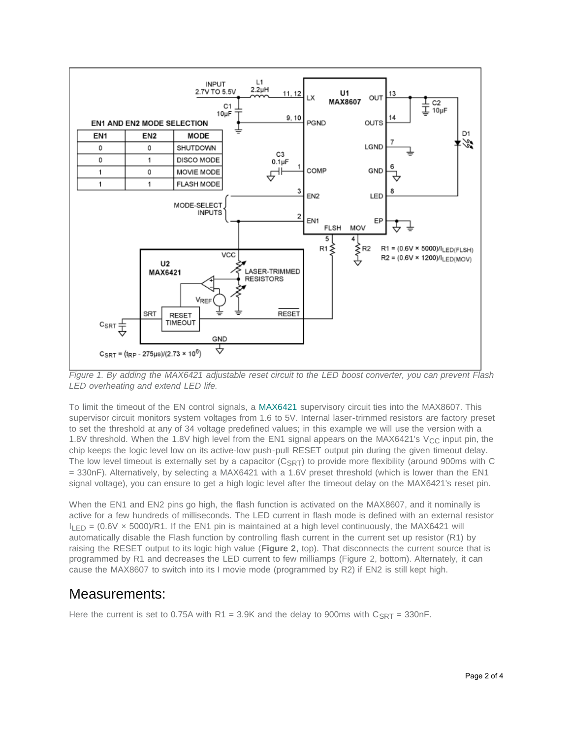

*Figure 1. By adding the MAX6421 adjustable reset circuit to the LED boost converter, you can prevent Flash LED overheating and extend LED life.*

To limit the timeout of the EN control signals, a [MAX6421](http://www.maximintegrated.com/MAX6421) supervisory circuit ties into the MAX8607. This supervisor circuit monitors system voltages from 1.6 to 5V. Internal laser-trimmed resistors are factory preset to set the threshold at any of 34 voltage predefined values; in this example we will use the version with a 1.8V threshold. When the 1.8V high level from the EN1 signal appears on the MAX6421's V<sub>CC</sub> input pin, the chip keeps the logic level low on its active-low push-pull RESET output pin during the given timeout delay. The low level timeout is externally set by a capacitor  $(C_{SRT})$  to provide more flexibility (around 900ms with C = 330nF). Alternatively, by selecting a MAX6421 with a 1.6V preset threshold (which is lower than the EN1 signal voltage), you can ensure to get a high logic level after the timeout delay on the MAX6421's reset pin.

When the EN1 and EN2 pins go high, the flash function is activated on the MAX8607, and it nominally is active for a few hundreds of milliseconds. The LED current in flash mode is defined with an external resistor  $I_{\text{F}}$  = (0.6V  $\times$  5000)/R1. If the EN1 pin is maintained at a high level continuously, the MAX6421 will automatically disable the Flash function by controlling flash current in the current set up resistor (R1) by raising the RESET output to its logic high value (**Figure 2**, top). That disconnects the current source that is programmed by R1 and decreases the LED current to few milliamps (Figure 2, bottom). Alternately, it can cause the MAX8607 to switch into its I movie mode (programmed by R2) if EN2 is still kept high.

## Measurements:

Here the current is set to 0.75A with R1 = 3.9K and the delay to 900ms with  $C_{SRT}$  = 330nF.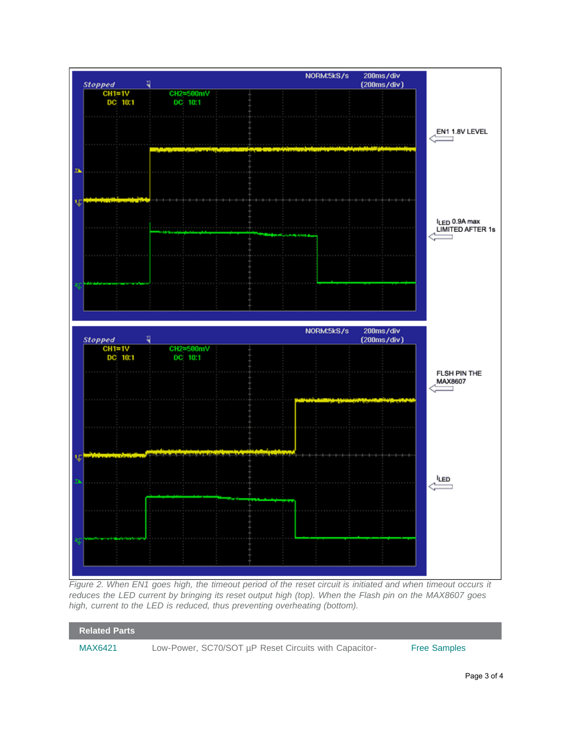

*Figure 2. When EN1 goes high, the timeout period of the reset circuit is initiated and when timeout occurs it reduces the LED current by bringing its reset output high (top). When the Flash pin on the MAX8607 goes high, current to the LED is reduced, thus preventing overheating (bottom).*